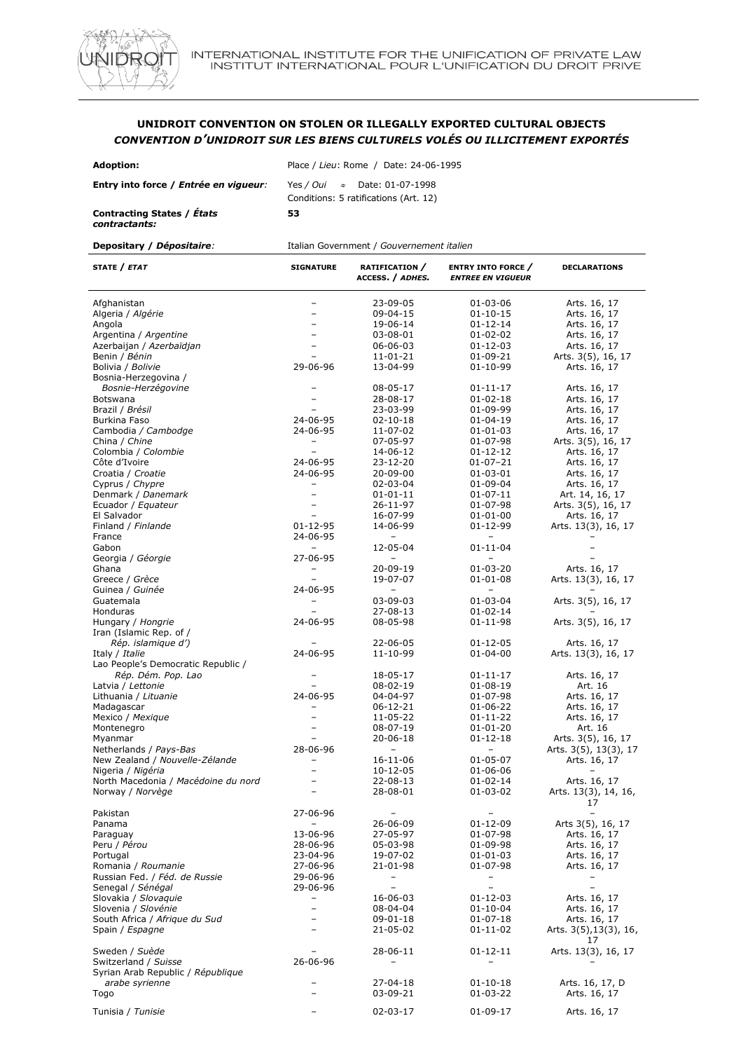

## **UNIDROIT CONVENTION ON STOLEN OR ILLEGALLY EXPORTED CULTURAL OBJECTS** *CONVENTION D'UNIDROIT SUR LES BIENS CULTURELS VOLÉS OU ILLICITEMENT EXPORTÉS*

| <b>Adoption:</b>                            | Place / Lieu: Rome / Date: 24-06-1995                                         |  |  |
|---------------------------------------------|-------------------------------------------------------------------------------|--|--|
| Entry into force / Entrée en viqueur:       | Yes / Oui $\approx$ Date: 01-07-1998<br>Conditions: 5 ratifications (Art. 12) |  |  |
| Contracting States / États<br>contractants: | 53                                                                            |  |  |

| STATE / ETAT                        | <b>SIGNATURE</b>         | RATIFICATION /<br>ACCESS. / ADHES. | <b>ENTRY INTO FORCE</b> /<br><b>ENTREE EN VIGUEUR</b> | <b>DECLARATIONS</b>          |
|-------------------------------------|--------------------------|------------------------------------|-------------------------------------------------------|------------------------------|
| Afghanistan                         |                          | 23-09-05                           | 01-03-06                                              | Arts. 16, 17                 |
| Algeria / Algérie                   | $\equiv$                 | 09-04-15                           | $01 - 10 - 15$                                        | Arts. 16, 17                 |
| Angola                              |                          | 19-06-14                           | 01-12-14                                              | Arts. 16, 17                 |
| Argentina / Argentine               |                          | 03-08-01                           | 01-02-02                                              | Arts. 16, 17                 |
| Azerbaijan / Azerbaïdjan            | $\equiv$                 | 06-06-03                           | $01 - 12 - 03$                                        | Arts. 16, 17                 |
| Benin / Bénin                       |                          | 11-01-21                           | 01-09-21                                              | Arts. 3(5), 16, 17           |
| Bolivia / Bolivie                   | 29-06-96                 | 13-04-99                           | 01-10-99                                              | Arts. 16, 17                 |
| Bosnia-Herzegovina /                |                          |                                    |                                                       |                              |
| Bosnie-Herzégovine                  |                          | 08-05-17                           | $01 - 11 - 17$                                        | Arts. 16, 17                 |
| Botswana                            |                          | 28-08-17                           | $01 - 02 - 18$                                        | Arts. 16, 17                 |
| Brazil / Brésil                     | ۰                        | 23-03-99                           | 01-09-99                                              | Arts. 16, 17                 |
| <b>Burkina Faso</b>                 | 24-06-95                 | $02 - 10 - 18$                     | $01 - 04 - 19$                                        | Arts. 16, 17                 |
| Cambodia / Cambodge                 | 24-06-95                 | 11-07-02                           | 01-01-03                                              | Arts. 16, 17                 |
| China / Chine                       | $\qquad \qquad -$        | 07-05-97                           | 01-07-98                                              | Arts. 3(5), 16, 17           |
| Colombia / Colombie                 | $\overline{\phantom{a}}$ | 14-06-12                           | 01-12-12                                              | Arts. 16, 17                 |
| Côte d'Ivoire                       | 24-06-95                 | 23-12-20                           | 01-07-21                                              | Arts. 16, 17                 |
| Croatia / Croatie                   | 24-06-95                 | $20 - 09 - 00$                     | 01-03-01                                              | Arts. 16, 17                 |
| Cyprus / Chypre                     | $\overline{\phantom{a}}$ | 02-03-04                           | 01-09-04                                              | Arts. 16, 17                 |
| Denmark / Danemark                  | $\overline{\phantom{0}}$ | $01 - 01 - 11$                     | $01 - 07 - 11$                                        | Art. 14, 16, 17              |
| Ecuador / Equateur                  | $\overline{\phantom{0}}$ | $26 - 11 - 97$                     | 01-07-98                                              | Arts. 3(5), 16, 17           |
| El Salvador                         | -                        | 16-07-99                           | $01 - 01 - 00$                                        | Arts. 16, 17                 |
| Finland / Finlande                  | 01-12-95                 | 14-06-99                           | 01-12-99                                              | Arts. 13(3), 16, 17          |
| France                              | 24-06-95                 |                                    |                                                       |                              |
| Gabon                               | $\overline{\phantom{a}}$ | 12-05-04                           | 01-11-04                                              |                              |
| Georgia / Géorgie                   | 27-06-95                 |                                    |                                                       |                              |
| Ghana                               | -                        | 20-09-19                           | 01-03-20                                              | Arts. 16, 17                 |
| Greece / Grèce                      | -                        | 19-07-07                           | $01 - 01 - 08$                                        | Arts. 13(3), 16, 17          |
| Guinea / Guinée                     | 24-06-95                 | -                                  | $\overline{\phantom{0}}$                              |                              |
| Guatemala                           |                          | 03-09-03                           | 01-03-04                                              | Arts. 3(5), 16, 17           |
| <b>Honduras</b>                     | $\overline{\phantom{0}}$ | $27 - 08 - 13$                     | 01-02-14                                              |                              |
| Hungary / Hongrie                   | 24-06-95                 | 08-05-98                           | 01-11-98                                              | Arts. 3(5), 16, 17           |
| Iran (Islamic Rep. of /             |                          |                                    |                                                       |                              |
| Rép. islamique d')                  |                          | 22-06-05                           | 01-12-05                                              | Arts. 16, 17                 |
| Italy / Italie                      | 24-06-95                 | 11-10-99                           | 01-04-00                                              | Arts. 13(3), 16, 17          |
| Lao People's Democratic Republic /  |                          |                                    |                                                       |                              |
| Rép. Dém. Pop. Lao                  |                          | 18-05-17                           | 01-11-17                                              | Arts. 16, 17                 |
| Latvia / Lettonie                   |                          | 08-02-19                           | $01 - 08 - 19$                                        | Art. 16                      |
| Lithuania / Lituanie                | 24-06-95                 | 04-04-97                           | 01-07-98                                              | Arts. 16, 17                 |
| Madagascar                          | $\overline{\phantom{a}}$ | 06-12-21                           | 01-06-22                                              | Arts. 16, 17                 |
| Mexico / Mexique                    |                          | 11-05-22                           | 01-11-22                                              | Arts. 16, 17                 |
| Montenegro                          | -                        | 08-07-19                           | $01 - 01 - 20$                                        | Art. 16                      |
| Myanmar                             | ÷                        | 20-06-18                           | $01 - 12 - 18$                                        | Arts. 3(5), 16, 17           |
| Netherlands / Pays-Bas              | 28-06-96                 | $\overline{\phantom{m}}$           | $\overline{\phantom{0}}$                              | Arts. 3(5), 13(3), 17        |
| New Zealand / Nouvelle-Zélande      | -                        | 16-11-06                           | 01-05-07                                              | Arts. 16, 17                 |
| Nigeria / Nigéria                   | ÷                        | 10-12-05                           | 01-06-06                                              | $\equiv$                     |
| North Macedonia / Macédoine du nord |                          | 22-08-13                           | 01-02-14                                              | Arts. 16, 17                 |
| Norway / Norvège                    |                          | 28-08-01                           | 01-03-02                                              | Arts. 13(3), 14, 16,         |
|                                     |                          |                                    |                                                       | 17                           |
| Pakistan                            | 27-06-96                 |                                    |                                                       |                              |
| Panama                              |                          | 26-06-09                           | 01-12-09                                              | Arts 3(5), 16, 17            |
| Paraguay                            | 13-06-96                 | 27-05-97                           | 01-07-98                                              | Arts. 16, 17                 |
| Peru / Pérou                        | 28-06-96                 | 05-03-98                           | 01-09-98                                              | Arts. 16, 17                 |
| Portugal                            | 23-04-96                 | 19-07-02                           | 01-01-03                                              | Arts. 16, 17                 |
| Romania / Roumanie                  | 27-06-96                 | 21-01-98                           | 01-07-98                                              | Arts. 16, 17                 |
| Russian Fed. / Féd. de Russie       | 29-06-96                 | -                                  |                                                       |                              |
| Senegal / Sénégal                   | 29-06-96                 | $\overline{\phantom{0}}$           | $\qquad \qquad -$                                     | $\overline{\phantom{0}}$     |
| Slovakia / Slovaguie                | -                        | 16-06-03                           | 01-12-03                                              | Arts. 16, 17                 |
| Slovenia / Slovénie                 | -                        | 08-04-04                           | 01-10-04                                              | Arts. 16, 17                 |
| South Africa / Afrique du Sud       |                          | 09-01-18                           | 01-07-18                                              | Arts. 16, 17                 |
| Spain / Espagne                     |                          | 21-05-02                           | 01-11-02                                              | Arts. 3(5), 13(3), 16,<br>17 |
| Sweden / Suède                      | -                        | 28-06-11                           | 01-12-11                                              | Arts. 13(3), 16, 17          |
| Switzerland / Suisse                | 26-06-96                 | $\qquad \qquad -$                  | $\overline{\phantom{0}}$                              |                              |
| Syrian Arab Republic / République   |                          |                                    |                                                       |                              |
| arabe syrienne                      |                          | 27-04-18                           | $01 - 10 - 18$                                        | Arts. 16, 17, D              |
| Togo                                |                          | 03-09-21                           | 01-03-22                                              | Arts. 16, 17                 |
| Tunisia / Tunisie                   |                          | 02-03-17                           | 01-09-17                                              | Arts. 16, 17                 |